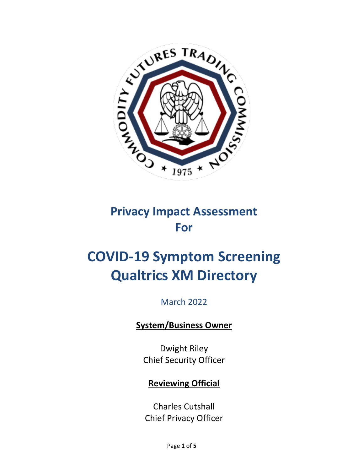

## **Privacy Impact Assessment For**

# **COVID-19 Symptom Screening Qualtrics XM Directory**

## March 2022

## **System/Business Owner**

Dwight Riley Chief Security Officer

### **Reviewing Official**

Charles Cutshall Chief Privacy Officer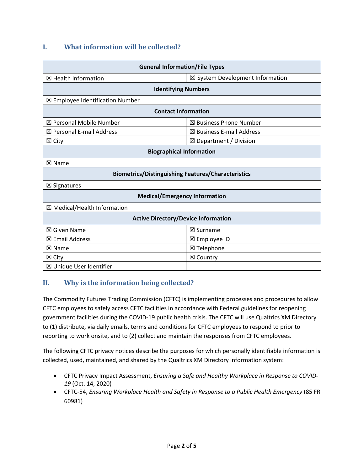#### **I. What information will be collected?**

| <b>General Information/File Types</b>                     |                                            |
|-----------------------------------------------------------|--------------------------------------------|
| ⊠ Health Information                                      | $\boxtimes$ System Development Information |
| <b>Identifying Numbers</b>                                |                                            |
| ⊠ Employee Identification Number                          |                                            |
| <b>Contact Information</b>                                |                                            |
| ⊠ Personal Mobile Number                                  | $\boxtimes$ Business Phone Number          |
| $\boxtimes$ Personal E-mail Address                       | $\boxtimes$ Business E-mail Address        |
| $\boxtimes$ City                                          | $\boxtimes$ Department / Division          |
| <b>Biographical Information</b>                           |                                            |
| ⊠ Name                                                    |                                            |
| <b>Biometrics/Distinguishing Features/Characteristics</b> |                                            |
| ⊠ Signatures                                              |                                            |
| <b>Medical/Emergency Information</b>                      |                                            |
| ⊠ Medical/Health Information                              |                                            |
| <b>Active Directory/Device Information</b>                |                                            |
| ⊠ Given Name                                              | ⊠ Surname                                  |
| $\boxtimes$ Email Address                                 | ⊠ Employee ID                              |
| ⊠ Name                                                    | ⊠ Telephone                                |
| $\boxtimes$ City                                          | ⊠ Country                                  |
| ⊠ Unique User Identifier                                  |                                            |

#### **II. Why is the information being collected?**

The Commodity Futures Trading Commission (CFTC) is implementing processes and procedures to allow CFTC employees to safely access CFTC facilities in accordance with Federal guidelines for reopening government facilities during the COVID-19 public health crisis. The CFTC will use Qualtrics XM Directory to (1) distribute, via daily emails, terms and conditions for CFTC employees to respond to prior to reporting to work onsite, and to (2) collect and maintain the responses from CFTC employees.

The following CFTC privacy notices describe the purposes for which personally identifiable information is collected, used, maintained, and shared by the Qualtrics XM Directory information system:

- CFTC Privacy Impact Assessment, *Ensuring a Safe and Healthy Workplace in Response to COVID-19* (Oct. 14, 2020)
- CFTC-54, *Ensuring Workplace Health and Safety in Response to a Public Health Emergency* (85 FR 60981)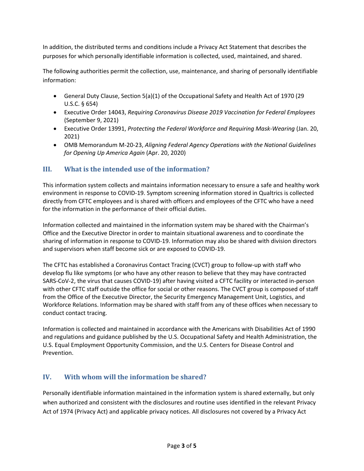In addition, the distributed terms and conditions include a Privacy Act Statement that describes the purposes for which personally identifiable information is collected, used, maintained, and shared.

The following authorities permit the collection, use, maintenance, and sharing of personally identifiable information:

- General Duty Clause, Section 5(a)(1) of the Occupational Safety and Health Act of 1970 (29 U.S.C. § 654)
- Executive Order 14043, *Requiring Coronavirus Disease 2019 Vaccination for Federal Employees* (September 9, 2021)
- Executive Order 13991, *Protecting the Federal Workforce and Requiring Mask-Wearing* (Jan. 20, 2021)
- OMB Memorandum M-20-23, *Aligning Federal Agency Operations with the National Guidelines for Opening Up America Again* (Apr. 20, 2020)

#### **III. What is the intended use of the information?**

This information system collects and maintains information necessary to ensure a safe and healthy work environment in response to COVID-19. Symptom screening information stored in Qualtrics is collected directly from CFTC employees and is shared with officers and employees of the CFTC who have a need for the information in the performance of their official duties.

Information collected and maintained in the information system may be shared with the Chairman's Office and the Executive Director in order to maintain situational awareness and to coordinate the sharing of information in response to COVID-19. Information may also be shared with division directors and supervisors when staff become sick or are exposed to COVID-19.

The CFTC has established a Coronavirus Contact Tracing (CVCT) group to follow-up with staff who develop flu like symptoms (or who have any other reason to believe that they may have contracted SARS-CoV-2, the virus that causes COVID-19) after having visited a CFTC facility or interacted in-person with other CFTC staff outside the office for social or other reasons. The CVCT group is composed of staff from the Office of the Executive Director, the Security Emergency Management Unit, Logistics, and Workforce Relations. Information may be shared with staff from any of these offices when necessary to conduct contact tracing.

Information is collected and maintained in accordance with the Americans with Disabilities Act of 1990 and regulations and guidance published by the U.S. Occupational Safety and Health Administration, the U.S. Equal Employment Opportunity Commission, and the U.S. Centers for Disease Control and Prevention.

#### **IV. With whom will the information be shared?**

Personally identifiable information maintained in the information system is shared externally, but only when authorized and consistent with the disclosures and routine uses identified in the relevant Privacy Act of 1974 (Privacy Act) and applicable privacy notices. All disclosures not covered by a Privacy Act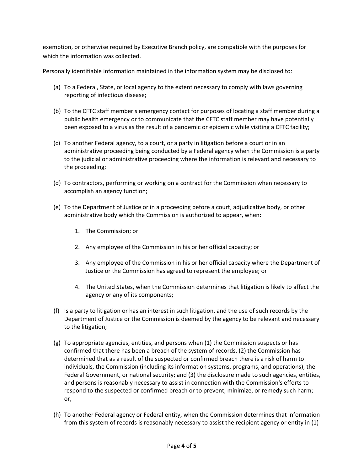exemption, or otherwise required by Executive Branch policy, are compatible with the purposes for which the information was collected.

Personally identifiable information maintained in the information system may be disclosed to:

- (a) To a Federal, State, or local agency to the extent necessary to comply with laws governing reporting of infectious disease;
- (b) To the CFTC staff member's emergency contact for purposes of locating a staff member during a public health emergency or to communicate that the CFTC staff member may have potentially been exposed to a virus as the result of a pandemic or epidemic while visiting a CFTC facility;
- (c) To another Federal agency, to a court, or a party in litigation before a court or in an administrative proceeding being conducted by a Federal agency when the Commission is a party to the judicial or administrative proceeding where the information is relevant and necessary to the proceeding;
- (d) To contractors, performing or working on a contract for the Commission when necessary to accomplish an agency function;
- (e) To the Department of Justice or in a proceeding before a court, adjudicative body, or other administrative body which the Commission is authorized to appear, when:
	- 1. The Commission; or
	- 2. Any employee of the Commission in his or her official capacity; or
	- 3. Any employee of the Commission in his or her official capacity where the Department of Justice or the Commission has agreed to represent the employee; or
	- 4. The United States, when the Commission determines that litigation is likely to affect the agency or any of its components;
- (f) Is a party to litigation or has an interest in such litigation, and the use of such records by the Department of Justice or the Commission is deemed by the agency to be relevant and necessary to the litigation;
- (g) To appropriate agencies, entities, and persons when (1) the Commission suspects or has confirmed that there has been a breach of the system of records, (2) the Commission has determined that as a result of the suspected or confirmed breach there is a risk of harm to individuals, the Commission (including its information systems, programs, and operations), the Federal Government, or national security; and (3) the disclosure made to such agencies, entities, and persons is reasonably necessary to assist in connection with the Commission's efforts to respond to the suspected or confirmed breach or to prevent, minimize, or remedy such harm; or,
- (h) To another Federal agency or Federal entity, when the Commission determines that information from this system of records is reasonably necessary to assist the recipient agency or entity in (1)